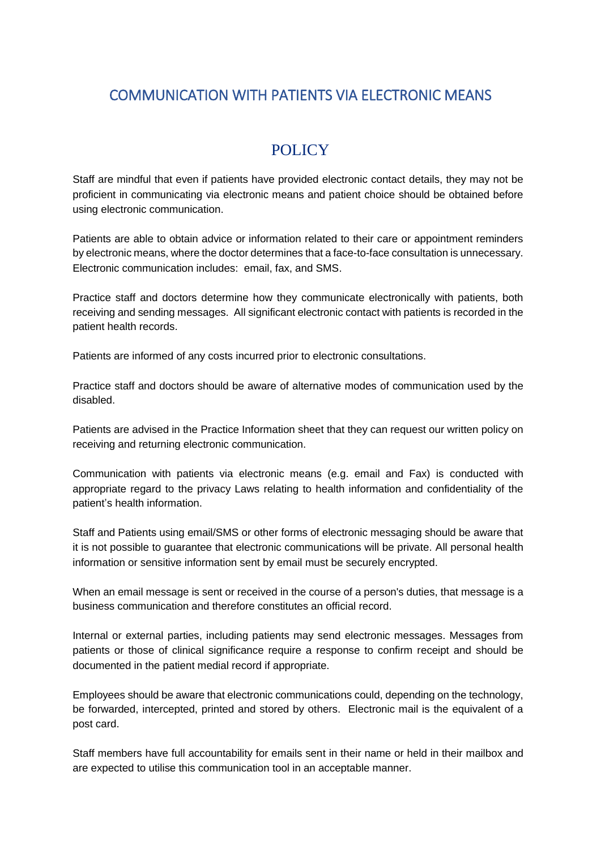## COMMUNICATION WITH PATIENTS VIA ELECTRONIC MEANS

## POLICY

Staff are mindful that even if patients have provided electronic contact details, they may not be proficient in communicating via electronic means and patient choice should be obtained before using electronic communication.

Patients are able to obtain advice or information related to their care or appointment reminders by electronic means, where the doctor determines that a face-to-face consultation is unnecessary. Electronic communication includes: email, fax, and SMS.

Practice staff and doctors determine how they communicate electronically with patients, both receiving and sending messages. All significant electronic contact with patients is recorded in the patient health records.

Patients are informed of any costs incurred prior to electronic consultations.

Practice staff and doctors should be aware of alternative modes of communication used by the disabled.

Patients are advised in the Practice Information sheet that they can request our written policy on receiving and returning electronic communication.

Communication with patients via electronic means (e.g. email and Fax) is conducted with appropriate regard to the privacy Laws relating to health information and confidentiality of the patient's health information.

Staff and Patients using email/SMS or other forms of electronic messaging should be aware that it is not possible to guarantee that electronic communications will be private. All personal health information or sensitive information sent by email must be securely encrypted.

When an email message is sent or received in the course of a person's duties, that message is a business communication and therefore constitutes an official record.

Internal or external parties, including patients may send electronic messages. Messages from patients or those of clinical significance require a response to confirm receipt and should be documented in the patient medial record if appropriate.

Employees should be aware that electronic communications could, depending on the technology, be forwarded, intercepted, printed and stored by others. Electronic mail is the equivalent of a post card.

Staff members have full accountability for emails sent in their name or held in their mailbox and are expected to utilise this communication tool in an acceptable manner.